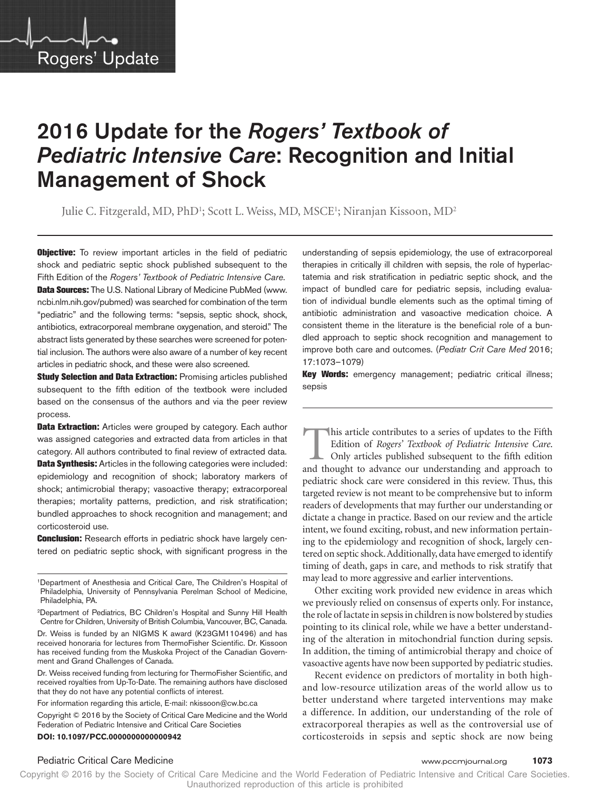

# 2016 Update for the *Rogers' Textbook of Pediatric Intensive Care*: Recognition and Initial Management of Shock

Julie C. Fitzgerald, MD, PhD<sup>1</sup>; Scott L. Weiss, MD, MSCE<sup>1</sup>; Niranjan Kissoon, MD<sup>2</sup>

**Objective:** To review important articles in the field of pediatric shock and pediatric septic shock published subsequent to the Fifth Edition of the *Rogers' Textbook of Pediatric Intensive Care*. **Data Sources:** The U.S. National Library of Medicine PubMed [\(www.](www.ncbi.nlm.nih.gov/pubmed) [ncbi.nlm.nih.gov/pubmed](www.ncbi.nlm.nih.gov/pubmed)) was searched for combination of the term "pediatric" and the following terms: "sepsis, septic shock, shock, antibiotics, extracorporeal membrane oxygenation, and steroid." The abstract lists generated by these searches were screened for potential inclusion. The authors were also aware of a number of key recent articles in pediatric shock, and these were also screened.

**Study Selection and Data Extraction: Promising articles published** subsequent to the fifth edition of the textbook were included based on the consensus of the authors and via the peer review process.

Data Extraction: Articles were grouped by category. Each author was assigned categories and extracted data from articles in that category. All authors contributed to final review of extracted data. Data Synthesis: Articles in the following categories were included: epidemiology and recognition of shock; laboratory markers of shock; antimicrobial therapy; vasoactive therapy; extracorporeal therapies; mortality patterns, prediction, and risk stratification; bundled approaches to shock recognition and management; and corticosteroid use.

**Conclusion:** Research efforts in pediatric shock have largely centered on pediatric septic shock, with significant progress in the

1Department of Anesthesia and Critical Care, The Children's Hospital of Philadelphia, University of Pennsylvania Perelman School of Medicine, Philadelphia, PA.

2 Department of Pediatrics, BC Children's Hospital and Sunny Hill Health Centre for Children, University of British Columbia, Vancouver, BC, Canada.

Dr. Weiss is funded by an NIGMS K award (K23GM110496) and has received honoraria for lectures from ThermoFisher Scientific. Dr. Kissoon has received funding from the Muskoka Project of the Canadian Government and Grand Challenges of Canada.

Dr. Weiss received funding from lecturing for ThermoFisher Scientific, and received royalties from Up-To-Date. The remaining authors have disclosed that they do not have any potential conflicts of interest.

For information regarding this article, E-mail: [nkissoon@cw.bc.ca](mailto:nkissoon@cw.bc.ca)

Copyright © 2016 by the Society of Critical Care Medicine and the World Federation of Pediatric Intensive and Critical Care Societies

**DOI: 10.1097/PCC.0000000000000942**

understanding of sepsis epidemiology, the use of extracorporeal therapies in critically ill children with sepsis, the role of hyperlactatemia and risk stratification in pediatric septic shock, and the impact of bundled care for pediatric sepsis, including evaluation of individual bundle elements such as the optimal timing of antibiotic administration and vasoactive medication choice. A consistent theme in the literature is the beneficial role of a bundled approach to septic shock recognition and management to improve both care and outcomes. (*Pediatr Crit Care Med* 2016; 17:1073–1079)

Key Words: emergency management; pediatric critical illness; sepsis

This article contributes to a series of updates to the Fifth Edition of *Rogers' Textbook of Pediatric Intensive Care*. Only articles published subsequent to the fifth edition and thought to advance our understanding and approach to pediatric shock care were considered in this review. Thus, this targeted review is not meant to be comprehensive but to inform readers of developments that may further our understanding or dictate a change in practice. Based on our review and the article intent, we found exciting, robust, and new information pertaining to the epidemiology and recognition of shock, largely centered on septic shock. Additionally, data have emerged to identify timing of death, gaps in care, and methods to risk stratify that may lead to more aggressive and earlier interventions.

Other exciting work provided new evidence in areas which we previously relied on consensus of experts only. For instance, the role of lactate in sepsis in children is now bolstered by studies pointing to its clinical role, while we have a better understanding of the alteration in mitochondrial function during sepsis. In addition, the timing of antimicrobial therapy and choice of vasoactive agents have now been supported by pediatric studies.

Recent evidence on predictors of mortality in both highand low-resource utilization areas of the world allow us to better understand where targeted interventions may make a difference. In addition, our understanding of the role of extracorporeal therapies as well as the controversial use of corticosteroids in sepsis and septic shock are now being

#### Pediatric Critical Care Medicine www.pccmjournal.org **1073**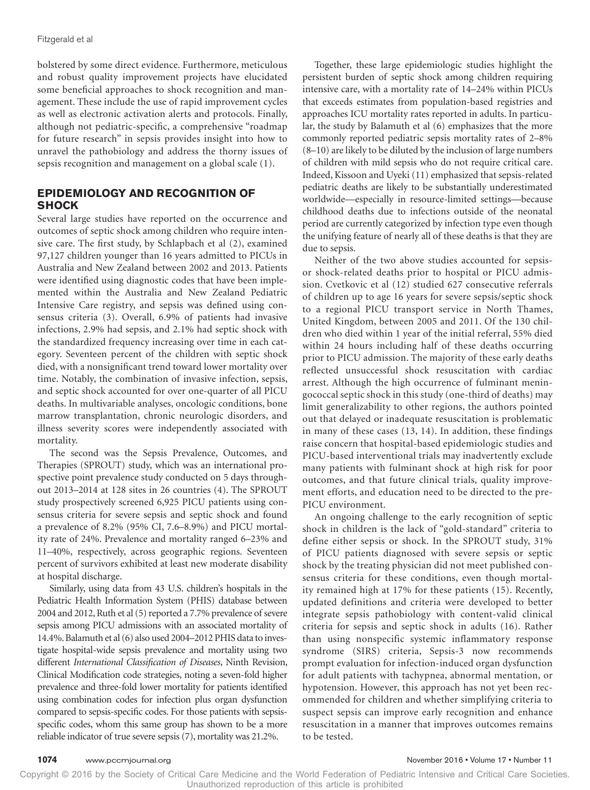#### Fitzgerald et al

bolstered by some direct evidence. Furthermore, meticulous and robust quality improvement projects have elucidated some beneficial approaches to shock recognition and management. These include the use of rapid improvement cycles as well as electronic activation alerts and protocols. Finally, although not pediatric-specific, a comprehensive "roadmap for future research" in sepsis provides insight into how to unravel the pathobiology and address the thorny issues of sepsis recognition and management on a global scale (1).

# **EPIDEMIOLOGY AND RECOGNITION OF SHOCK**

Several large studies have reported on the occurrence and outcomes of septic shock among children who require intensive care. The first study, by Schlapbach et al (2), examined 97,127 children younger than 16 years admitted to PICUs in Australia and New Zealand between 2002 and 2013. Patients were identified using diagnostic codes that have been implemented within the Australia and New Zealand Pediatric Intensive Care registry, and sepsis was defined using consensus criteria (3). Overall, 6.9% of patients had invasive infections, 2.9% had sepsis, and 2.1% had septic shock with the standardized frequency increasing over time in each category. Seventeen percent of the children with septic shock died, with a nonsignificant trend toward lower mortality over time. Notably, the combination of invasive infection, sepsis, and septic shock accounted for over one-quarter of all PICU deaths. In multivariable analyses, oncologic conditions, bone marrow transplantation, chronic neurologic disorders, and illness severity scores were independently associated with mortality.

The second was the Sepsis Prevalence, Outcomes, and Therapies (SPROUT) study, which was an international prospective point prevalence study conducted on 5 days throughout 2013–2014 at 128 sites in 26 countries (4). The SPROUT study prospectively screened 6,925 PICU patients using consensus criteria for severe sepsis and septic shock and found a prevalence of 8.2% (95% CI, 7.6–8.9%) and PICU mortality rate of 24%. Prevalence and mortality ranged 6–23% and 11–40%, respectively, across geographic regions. Seventeen percent of survivors exhibited at least new moderate disability at hospital discharge.

Similarly, using data from 43 U.S. children's hospitals in the Pediatric Health Information System (PHIS) database between 2004 and 2012, Ruth et al (5) reported a 7.7% prevalence of severe sepsis among PICU admissions with an associated mortality of 14.4%. Balamuth et al (6) also used 2004–2012 PHIS data to investigate hospital-wide sepsis prevalence and mortality using two different *International Classification of Diseases*, Ninth Revision, Clinical Modification code strategies, noting a seven-fold higher prevalence and three-fold lower mortality for patients identified using combination codes for infection plus organ dysfunction compared to sepsis-specific codes. For those patients with sepsisspecific codes, whom this same group has shown to be a more reliable indicator of true severe sepsis (7), mortality was 21.2%.

Together, these large epidemiologic studies highlight the persistent burden of septic shock among children requiring intensive care, with a mortality rate of 14–24% within PICUs that exceeds estimates from population-based registries and approaches ICU mortality rates reported in adults. In particular, the study by Balamuth et al (6) emphasizes that the more commonly reported pediatric sepsis mortality rates of 2–8% (8–10) are likely to be diluted by the inclusion of large numbers of children with mild sepsis who do not require critical care. Indeed, Kissoon and Uyeki (11) emphasized that sepsis-related pediatric deaths are likely to be substantially underestimated worldwide—especially in resource-limited settings—because childhood deaths due to infections outside of the neonatal period are currently categorized by infection type even though the unifying feature of nearly all of these deaths is that they are due to sepsis.

Neither of the two above studies accounted for sepsisor shock-related deaths prior to hospital or PICU admission. Cvetkovic et al (12) studied 627 consecutive referrals of children up to age 16 years for severe sepsis/septic shock to a regional PICU transport service in North Thames, United Kingdom, between 2005 and 2011. Of the 130 children who died within 1 year of the initial referral, 55% died within 24 hours including half of these deaths occurring prior to PICU admission. The majority of these early deaths reflected unsuccessful shock resuscitation with cardiac arrest. Although the high occurrence of fulminant meningococcal septic shock in this study (one-third of deaths) may limit generalizability to other regions, the authors pointed out that delayed or inadequate resuscitation is problematic in many of these cases (13, 14). In addition, these findings raise concern that hospital-based epidemiologic studies and PICU-based interventional trials may inadvertently exclude many patients with fulminant shock at high risk for poor outcomes, and that future clinical trials, quality improvement efforts, and education need to be directed to the pre-PICU environment.

An ongoing challenge to the early recognition of septic shock in children is the lack of "gold-standard" criteria to define either sepsis or shock. In the SPROUT study, 31% of PICU patients diagnosed with severe sepsis or septic shock by the treating physician did not meet published consensus criteria for these conditions, even though mortality remained high at 17% for these patients (15). Recently, updated definitions and criteria were developed to better integrate sepsis pathobiology with content-valid clinical criteria for sepsis and septic shock in adults (16). Rather than using nonspecific systemic inflammatory response syndrome (SIRS) criteria, Sepsis-3 now recommends prompt evaluation for infection-induced organ dysfunction for adult patients with tachypnea, abnormal mentation, or hypotension. However, this approach has not yet been recommended for children and whether simplifying criteria to suspect sepsis can improve early recognition and enhance resuscitation in a manner that improves outcomes remains to be tested.

#### **1074** www.pccmjournal.org November 2016 • Volume 17 • Number 11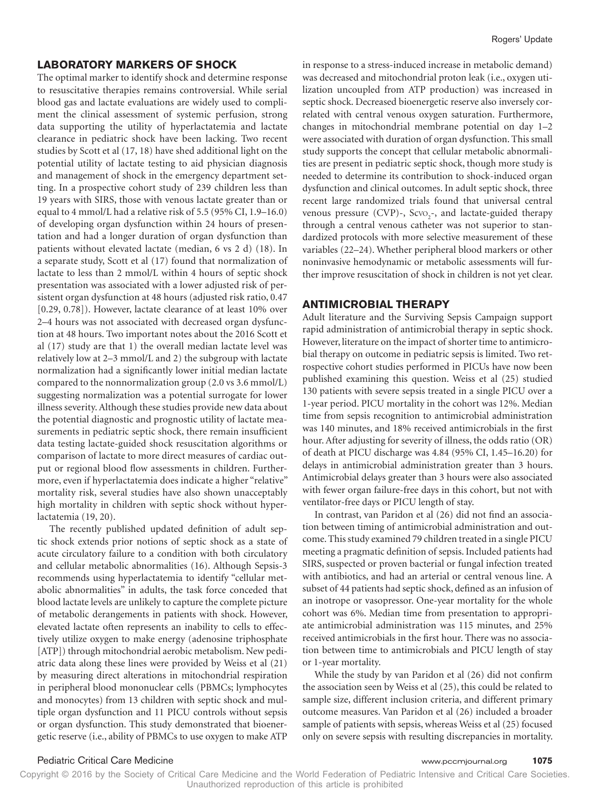# **LABORATORY MARKERS OF SHOCK**

The optimal marker to identify shock and determine response to resuscitative therapies remains controversial. While serial blood gas and lactate evaluations are widely used to compliment the clinical assessment of systemic perfusion, strong data supporting the utility of hyperlactatemia and lactate clearance in pediatric shock have been lacking. Two recent studies by Scott et al (17, 18) have shed additional light on the potential utility of lactate testing to aid physician diagnosis and management of shock in the emergency department setting. In a prospective cohort study of 239 children less than 19 years with SIRS, those with venous lactate greater than or equal to 4 mmol/L had a relative risk of 5.5 (95% CI, 1.9–16.0) of developing organ dysfunction within 24 hours of presentation and had a longer duration of organ dysfunction than patients without elevated lactate (median, 6 vs 2 d) (18). In a separate study, Scott et al (17) found that normalization of lactate to less than 2 mmol/L within 4 hours of septic shock presentation was associated with a lower adjusted risk of persistent organ dysfunction at 48 hours (adjusted risk ratio, 0.47 [0.29, 0.78]). However, lactate clearance of at least 10% over 2–4 hours was not associated with decreased organ dysfunction at 48 hours. Two important notes about the 2016 Scott et al (17) study are that 1) the overall median lactate level was relatively low at 2–3 mmol/L and 2) the subgroup with lactate normalization had a significantly lower initial median lactate compared to the nonnormalization group (2.0 vs 3.6 mmol/L) suggesting normalization was a potential surrogate for lower illness severity. Although these studies provide new data about the potential diagnostic and prognostic utility of lactate measurements in pediatric septic shock, there remain insufficient data testing lactate-guided shock resuscitation algorithms or comparison of lactate to more direct measures of cardiac output or regional blood flow assessments in children. Furthermore, even if hyperlactatemia does indicate a higher "relative" mortality risk, several studies have also shown unacceptably high mortality in children with septic shock without hyperlactatemia (19, 20).

The recently published updated definition of adult septic shock extends prior notions of septic shock as a state of acute circulatory failure to a condition with both circulatory and cellular metabolic abnormalities (16). Although Sepsis-3 recommends using hyperlactatemia to identify "cellular metabolic abnormalities" in adults, the task force conceded that blood lactate levels are unlikely to capture the complete picture of metabolic derangements in patients with shock. However, elevated lactate often represents an inability to cells to effectively utilize oxygen to make energy (adenosine triphosphate [ATP]) through mitochondrial aerobic metabolism. New pediatric data along these lines were provided by Weiss et al (21) by measuring direct alterations in mitochondrial respiration in peripheral blood mononuclear cells (PBMCs; lymphocytes and monocytes) from 13 children with septic shock and multiple organ dysfunction and 11 PICU controls without sepsis or organ dysfunction. This study demonstrated that bioenergetic reserve (i.e., ability of PBMCs to use oxygen to make ATP

in response to a stress-induced increase in metabolic demand) was decreased and mitochondrial proton leak (i.e., oxygen utilization uncoupled from ATP production) was increased in septic shock. Decreased bioenergetic reserve also inversely correlated with central venous oxygen saturation. Furthermore, changes in mitochondrial membrane potential on day 1–2 were associated with duration of organ dysfunction. This small study supports the concept that cellular metabolic abnormalities are present in pediatric septic shock, though more study is needed to determine its contribution to shock-induced organ dysfunction and clinical outcomes. In adult septic shock, three recent large randomized trials found that universal central venous pressure (CVP)-,  $S\text{cvo}_2$ -, and lactate-guided therapy through a central venous catheter was not superior to standardized protocols with more selective measurement of these variables (22–24). Whether peripheral blood markers or other noninvasive hemodynamic or metabolic assessments will further improve resuscitation of shock in children is not yet clear.

# **ANTIMICROBIAL THERAPY**

Adult literature and the Surviving Sepsis Campaign support rapid administration of antimicrobial therapy in septic shock. However, literature on the impact of shorter time to antimicrobial therapy on outcome in pediatric sepsis is limited. Two retrospective cohort studies performed in PICUs have now been published examining this question. Weiss et al (25) studied 130 patients with severe sepsis treated in a single PICU over a 1-year period. PICU mortality in the cohort was 12%. Median time from sepsis recognition to antimicrobial administration was 140 minutes, and 18% received antimicrobials in the first hour. After adjusting for severity of illness, the odds ratio (OR) of death at PICU discharge was 4.84 (95% CI, 1.45–16.20) for delays in antimicrobial administration greater than 3 hours. Antimicrobial delays greater than 3 hours were also associated with fewer organ failure-free days in this cohort, but not with ventilator-free days or PICU length of stay.

In contrast, van Paridon et al (26) did not find an association between timing of antimicrobial administration and outcome. This study examined 79 children treated in a single PICU meeting a pragmatic definition of sepsis. Included patients had SIRS, suspected or proven bacterial or fungal infection treated with antibiotics, and had an arterial or central venous line. A subset of 44 patients had septic shock, defined as an infusion of an inotrope or vasopressor. One-year mortality for the whole cohort was 6%. Median time from presentation to appropriate antimicrobial administration was 115 minutes, and 25% received antimicrobials in the first hour. There was no association between time to antimicrobials and PICU length of stay or 1-year mortality.

While the study by van Paridon et al (26) did not confirm the association seen by Weiss et al (25), this could be related to sample size, different inclusion criteria, and different primary outcome measures. Van Paridon et al (26) included a broader sample of patients with sepsis, whereas Weiss et al (25) focused only on severe sepsis with resulting discrepancies in mortality.

#### Pediatric Critical Care Medicine www.pccmjournal.org **1075**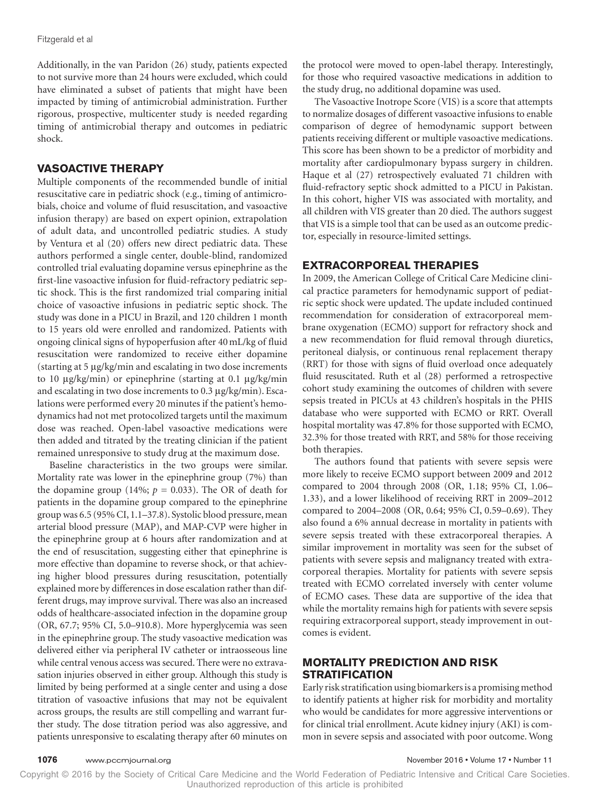Additionally, in the van Paridon (26) study, patients expected to not survive more than 24 hours were excluded, which could have eliminated a subset of patients that might have been impacted by timing of antimicrobial administration. Further rigorous, prospective, multicenter study is needed regarding timing of antimicrobial therapy and outcomes in pediatric shock.

### **VASOACTIVE THERAPY**

Multiple components of the recommended bundle of initial resuscitative care in pediatric shock (e.g., timing of antimicrobials, choice and volume of fluid resuscitation, and vasoactive infusion therapy) are based on expert opinion, extrapolation of adult data, and uncontrolled pediatric studies. A study by Ventura et al (20) offers new direct pediatric data. These authors performed a single center, double-blind, randomized controlled trial evaluating dopamine versus epinephrine as the first-line vasoactive infusion for fluid-refractory pediatric septic shock. This is the first randomized trial comparing initial choice of vasoactive infusions in pediatric septic shock. The study was done in a PICU in Brazil, and 120 children 1 month to 15 years old were enrolled and randomized. Patients with ongoing clinical signs of hypoperfusion after 40mL/kg of fluid resuscitation were randomized to receive either dopamine (starting at 5 μg/kg/min and escalating in two dose increments to 10 μg/kg/min) or epinephrine (starting at 0.1 μg/kg/min and escalating in two dose increments to 0.3 μg/kg/min). Escalations were performed every 20 minutes if the patient's hemodynamics had not met protocolized targets until the maximum dose was reached. Open-label vasoactive medications were then added and titrated by the treating clinician if the patient remained unresponsive to study drug at the maximum dose.

Baseline characteristics in the two groups were similar. Mortality rate was lower in the epinephrine group (7%) than the dopamine group (14%;  $p = 0.033$ ). The OR of death for patients in the dopamine group compared to the epinephrine group was 6.5 (95% CI, 1.1–37.8). Systolic blood pressure, mean arterial blood pressure (MAP), and MAP-CVP were higher in the epinephrine group at 6 hours after randomization and at the end of resuscitation, suggesting either that epinephrine is more effective than dopamine to reverse shock, or that achieving higher blood pressures during resuscitation, potentially explained more by differences in dose escalation rather than different drugs, may improve survival. There was also an increased odds of healthcare-associated infection in the dopamine group (OR, 67.7; 95% CI, 5.0–910.8). More hyperglycemia was seen in the epinephrine group. The study vasoactive medication was delivered either via peripheral IV catheter or intraosseous line while central venous access was secured. There were no extravasation injuries observed in either group. Although this study is limited by being performed at a single center and using a dose titration of vasoactive infusions that may not be equivalent across groups, the results are still compelling and warrant further study. The dose titration period was also aggressive, and patients unresponsive to escalating therapy after 60 minutes on

the protocol were moved to open-label therapy. Interestingly, for those who required vasoactive medications in addition to the study drug, no additional dopamine was used.

The Vasoactive Inotrope Score (VIS) is a score that attempts to normalize dosages of different vasoactive infusions to enable comparison of degree of hemodynamic support between patients receiving different or multiple vasoactive medications. This score has been shown to be a predictor of morbidity and mortality after cardiopulmonary bypass surgery in children. Haque et al (27) retrospectively evaluated 71 children with fluid-refractory septic shock admitted to a PICU in Pakistan. In this cohort, higher VIS was associated with mortality, and all children with VIS greater than 20 died. The authors suggest that VIS is a simple tool that can be used as an outcome predictor, especially in resource-limited settings.

# **EXTRACORPOREAL THERAPIES**

In 2009, the American College of Critical Care Medicine clinical practice parameters for hemodynamic support of pediatric septic shock were updated. The update included continued recommendation for consideration of extracorporeal membrane oxygenation (ECMO) support for refractory shock and a new recommendation for fluid removal through diuretics, peritoneal dialysis, or continuous renal replacement therapy (RRT) for those with signs of fluid overload once adequately fluid resuscitated. Ruth et al (28) performed a retrospective cohort study examining the outcomes of children with severe sepsis treated in PICUs at 43 children's hospitals in the PHIS database who were supported with ECMO or RRT. Overall hospital mortality was 47.8% for those supported with ECMO, 32.3% for those treated with RRT, and 58% for those receiving both therapies.

The authors found that patients with severe sepsis were more likely to receive ECMO support between 2009 and 2012 compared to 2004 through 2008 (OR, 1.18; 95% CI, 1.06– 1.33), and a lower likelihood of receiving RRT in 2009–2012 compared to 2004–2008 (OR, 0.64; 95% CI, 0.59–0.69). They also found a 6% annual decrease in mortality in patients with severe sepsis treated with these extracorporeal therapies. A similar improvement in mortality was seen for the subset of patients with severe sepsis and malignancy treated with extracorporeal therapies. Mortality for patients with severe sepsis treated with ECMO correlated inversely with center volume of ECMO cases. These data are supportive of the idea that while the mortality remains high for patients with severe sepsis requiring extracorporeal support, steady improvement in outcomes is evident.

# **MORTALITY PREDICTION AND RISK STRATIFICATION**

Early risk stratification using biomarkers is a promising method to identify patients at higher risk for morbidity and mortality who would be candidates for more aggressive interventions or for clinical trial enrollment. Acute kidney injury (AKI) is common in severe sepsis and associated with poor outcome. Wong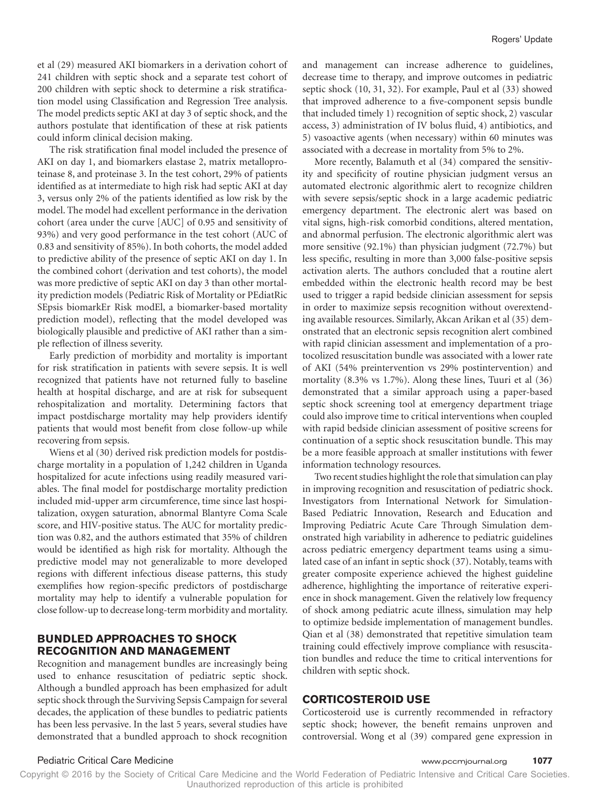et al (29) measured AKI biomarkers in a derivation cohort of 241 children with septic shock and a separate test cohort of 200 children with septic shock to determine a risk stratification model using Classification and Regression Tree analysis. The model predicts septic AKI at day 3 of septic shock, and the authors postulate that identification of these at risk patients could inform clinical decision making.

The risk stratification final model included the presence of AKI on day 1, and biomarkers elastase 2, matrix metalloproteinase 8, and proteinase 3. In the test cohort, 29% of patients identified as at intermediate to high risk had septic AKI at day 3, versus only 2% of the patients identified as low risk by the model. The model had excellent performance in the derivation cohort (area under the curve [AUC] of 0.95 and sensitivity of 93%) and very good performance in the test cohort (AUC of 0.83 and sensitivity of 85%). In both cohorts, the model added to predictive ability of the presence of septic AKI on day 1. In the combined cohort (derivation and test cohorts), the model was more predictive of septic AKI on day 3 than other mortality prediction models (Pediatric Risk of Mortality or PEdiatRic SEpsis biomarkEr Risk modEl, a biomarker-based mortality prediction model), reflecting that the model developed was biologically plausible and predictive of AKI rather than a simple reflection of illness severity.

Early prediction of morbidity and mortality is important for risk stratification in patients with severe sepsis. It is well recognized that patients have not returned fully to baseline health at hospital discharge, and are at risk for subsequent rehospitalization and mortality. Determining factors that impact postdischarge mortality may help providers identify patients that would most benefit from close follow-up while recovering from sepsis.

Wiens et al (30) derived risk prediction models for postdischarge mortality in a population of 1,242 children in Uganda hospitalized for acute infections using readily measured variables. The final model for postdischarge mortality prediction included mid-upper arm circumference, time since last hospitalization, oxygen saturation, abnormal Blantyre Coma Scale score, and HIV-positive status. The AUC for mortality prediction was 0.82, and the authors estimated that 35% of children would be identified as high risk for mortality. Although the predictive model may not generalizable to more developed regions with different infectious disease patterns, this study exemplifies how region-specific predictors of postdischarge mortality may help to identify a vulnerable population for close follow-up to decrease long-term morbidity and mortality.

# **BUNDLED APPROACHES TO SHOCK RECOGNITION AND MANAGEMENT**

Recognition and management bundles are increasingly being used to enhance resuscitation of pediatric septic shock. Although a bundled approach has been emphasized for adult septic shock through the Surviving Sepsis Campaign for several decades, the application of these bundles to pediatric patients has been less pervasive. In the last 5 years, several studies have demonstrated that a bundled approach to shock recognition

and management can increase adherence to guidelines, decrease time to therapy, and improve outcomes in pediatric septic shock (10, 31, 32). For example, Paul et al (33) showed that improved adherence to a five-component sepsis bundle that included timely 1) recognition of septic shock, 2) vascular access, 3) administration of IV bolus fluid, 4) antibiotics, and 5) vasoactive agents (when necessary) within 60 minutes was associated with a decrease in mortality from 5% to 2%.

More recently, Balamuth et al (34) compared the sensitivity and specificity of routine physician judgment versus an automated electronic algorithmic alert to recognize children with severe sepsis/septic shock in a large academic pediatric emergency department. The electronic alert was based on vital signs, high-risk comorbid conditions, altered mentation, and abnormal perfusion. The electronic algorithmic alert was more sensitive (92.1%) than physician judgment (72.7%) but less specific, resulting in more than 3,000 false-positive sepsis activation alerts. The authors concluded that a routine alert embedded within the electronic health record may be best used to trigger a rapid bedside clinician assessment for sepsis in order to maximize sepsis recognition without overextending available resources. Similarly, Akcan Arikan et al (35) demonstrated that an electronic sepsis recognition alert combined with rapid clinician assessment and implementation of a protocolized resuscitation bundle was associated with a lower rate of AKI (54% preintervention vs 29% postintervention) and mortality (8.3% vs 1.7%). Along these lines, Tuuri et al (36) demonstrated that a similar approach using a paper-based septic shock screening tool at emergency department triage could also improve time to critical interventions when coupled with rapid bedside clinician assessment of positive screens for continuation of a septic shock resuscitation bundle. This may be a more feasible approach at smaller institutions with fewer information technology resources.

Two recent studies highlight the role that simulation can play in improving recognition and resuscitation of pediatric shock. Investigators from International Network for Simulation-Based Pediatric Innovation, Research and Education and Improving Pediatric Acute Care Through Simulation demonstrated high variability in adherence to pediatric guidelines across pediatric emergency department teams using a simulated case of an infant in septic shock (37). Notably, teams with greater composite experience achieved the highest guideline adherence, highlighting the importance of reiterative experience in shock management. Given the relatively low frequency of shock among pediatric acute illness, simulation may help to optimize bedside implementation of management bundles. Qian et al (38) demonstrated that repetitive simulation team training could effectively improve compliance with resuscitation bundles and reduce the time to critical interventions for children with septic shock.

# **CORTICOSTEROID USE**

Corticosteroid use is currently recommended in refractory septic shock; however, the benefit remains unproven and controversial. Wong et al (39) compared gene expression in

#### Pediatric Critical Care Medicine www.pccmjournal.org **1077**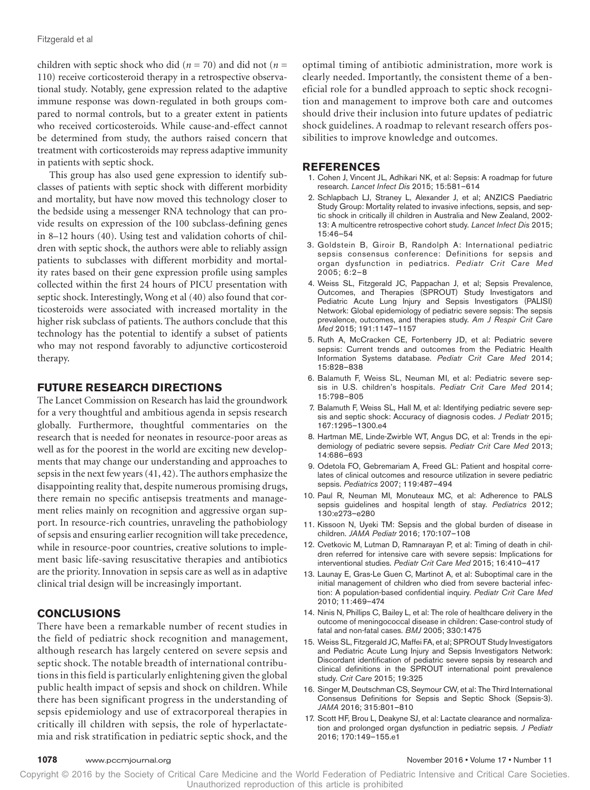children with septic shock who did ( $n = 70$ ) and did not ( $n =$ 110) receive corticosteroid therapy in a retrospective observational study. Notably, gene expression related to the adaptive immune response was down-regulated in both groups compared to normal controls, but to a greater extent in patients who received corticosteroids. While cause-and-effect cannot be determined from study, the authors raised concern that treatment with corticosteroids may repress adaptive immunity in patients with septic shock.

This group has also used gene expression to identify subclasses of patients with septic shock with different morbidity and mortality, but have now moved this technology closer to the bedside using a messenger RNA technology that can provide results on expression of the 100 subclass-defining genes in 8–12 hours (40). Using test and validation cohorts of children with septic shock, the authors were able to reliably assign patients to subclasses with different morbidity and mortality rates based on their gene expression profile using samples collected within the first 24 hours of PICU presentation with septic shock. Interestingly, Wong et al (40) also found that corticosteroids were associated with increased mortality in the higher risk subclass of patients. The authors conclude that this technology has the potential to identify a subset of patients who may not respond favorably to adjunctive corticosteroid therapy.

### **FUTURE RESEARCH DIRECTIONS**

The Lancet Commission on Research has laid the groundwork for a very thoughtful and ambitious agenda in sepsis research globally. Furthermore, thoughtful commentaries on the research that is needed for neonates in resource-poor areas as well as for the poorest in the world are exciting new developments that may change our understanding and approaches to sepsis in the next few years (41, 42). The authors emphasize the disappointing reality that, despite numerous promising drugs, there remain no specific antisepsis treatments and management relies mainly on recognition and aggressive organ support. In resource-rich countries, unraveling the pathobiology of sepsis and ensuring earlier recognition will take precedence, while in resource-poor countries, creative solutions to implement basic life-saving resuscitative therapies and antibiotics are the priority. Innovation in sepsis care as well as in adaptive clinical trial design will be increasingly important.

### **CONCLUSIONS**

There have been a remarkable number of recent studies in the field of pediatric shock recognition and management, although research has largely centered on severe sepsis and septic shock. The notable breadth of international contributions in this field is particularly enlightening given the global public health impact of sepsis and shock on children. While there has been significant progress in the understanding of sepsis epidemiology and use of extracorporeal therapies in critically ill children with sepsis, the role of hyperlactatemia and risk stratification in pediatric septic shock, and the optimal timing of antibiotic administration, more work is clearly needed. Importantly, the consistent theme of a beneficial role for a bundled approach to septic shock recognition and management to improve both care and outcomes should drive their inclusion into future updates of pediatric shock guidelines. A roadmap to relevant research offers possibilities to improve knowledge and outcomes.

#### **REFERENCES**

- 1. Cohen J, Vincent JL, Adhikari NK, et al: Sepsis: A roadmap for future research. *Lancet Infect Dis* 2015; 15:581–614
- 2. Schlapbach LJ, Straney L, Alexander J, et al; ANZICS Paediatric Study Group: Mortality related to invasive infections, sepsis, and septic shock in critically ill children in Australia and New Zealand, 2002- 13: A multicentre retrospective cohort study. *Lancet Infect Dis* 2015; 15:46–54
- 3. Goldstein B, Giroir B, Randolph A: International pediatric sepsis consensus conference: Definitions for sepsis and organ dysfunction in pediatrics. *Pediatr Crit Care Med* 2005; 6:2–8
- 4. Weiss SL, Fitzgerald JC, Pappachan J, et al; Sepsis Prevalence, Outcomes, and Therapies (SPROUT) Study Investigators and Pediatric Acute Lung Injury and Sepsis Investigators (PALISI) Network: Global epidemiology of pediatric severe sepsis: The sepsis prevalence, outcomes, and therapies study. *Am J Respir Crit Care Med* 2015; 191:1147–1157
- 5. Ruth A, McCracken CE, Fortenberry JD, et al: Pediatric severe sepsis: Current trends and outcomes from the Pediatric Health Information Systems database. *Pediatr Crit Care Med* 2014; 15:828–838
- 6. Balamuth F, Weiss SL, Neuman MI, et al: Pediatric severe sepsis in U.S. children's hospitals. *Pediatr Crit Care Med* 2014; 15:798–805
- 7. Balamuth F, Weiss SL, Hall M, et al: Identifying pediatric severe sepsis and septic shock: Accuracy of diagnosis codes. *J Pediatr* 2015; 167:1295–1300.e4
- 8. Hartman ME, Linde-Zwirble WT, Angus DC, et al: Trends in the epidemiology of pediatric severe sepsis. *Pediatr Crit Care Med* 2013; 14:686–693
- 9. Odetola FO, Gebremariam A, Freed GL: Patient and hospital correlates of clinical outcomes and resource utilization in severe pediatric sepsis. *Pediatrics* 2007; 119:487–494
- 10. Paul R, Neuman MI, Monuteaux MC, et al: Adherence to PALS sepsis guidelines and hospital length of stay. *Pediatrics* 2012; 130:e273–e280
- 11. Kissoon N, Uyeki TM: Sepsis and the global burden of disease in children. *JAMA Pediatr* 2016; 170:107–108
- 12. Cvetkovic M, Lutman D, Ramnarayan P, et al: Timing of death in children referred for intensive care with severe sepsis: Implications for interventional studies. *Pediatr Crit Care Med* 2015; 16:410–417
- 13. Launay E, Gras-Le Guen C, Martinot A, et al: Suboptimal care in the initial management of children who died from severe bacterial infection: A population-based confidential inquiry. *Pediatr Crit Care Med* 2010; 11:469–474
- 14. Ninis N, Phillips C, Bailey L, et al: The role of healthcare delivery in the outcome of meningococcal disease in children: Case-control study of fatal and non-fatal cases. *BMJ* 2005; 330:1475
- 15. Weiss SL, Fitzgerald JC, Maffei FA, et al; SPROUT Study Investigators and Pediatric Acute Lung Injury and Sepsis Investigators Network: Discordant identification of pediatric severe sepsis by research and clinical definitions in the SPROUT international point prevalence study. *Crit Care* 2015; 19:325
- 16. Singer M, Deutschman CS, Seymour CW, et al: The Third International Consensus Definitions for Sepsis and Septic Shock (Sepsis-3). *JAMA* 2016; 315:801–810
- 17. Scott HF, Brou L, Deakyne SJ, et al: Lactate clearance and normalization and prolonged organ dysfunction in pediatric sepsis. *J Pediatr* 2016; 170:149–155.e1

#### **1078** www.pccmjournal.org November 2016 • Volume 17 • Number 11